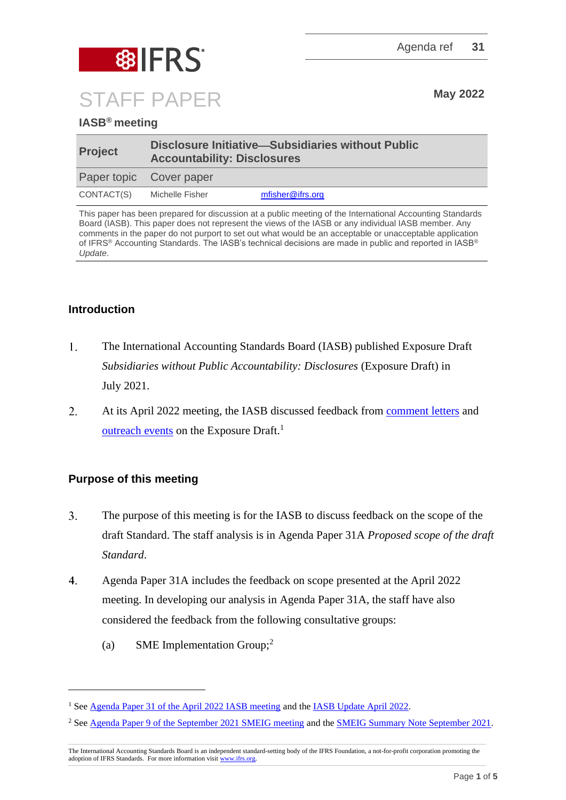

# **IASB® meeting**

| <b>Project</b>          | Disclosure Initiative—Subsidiaries without Public<br><b>Accountability: Disclosures</b> |                  |
|-------------------------|-----------------------------------------------------------------------------------------|------------------|
| Paper topic Cover paper |                                                                                         |                  |
| CONTACT(S)              | Michelle Fisher                                                                         | mfisher@ifrs.org |

This paper has been prepared for discussion at a public meeting of the International Accounting Standards Board (IASB). This paper does not represent the views of the IASB or any individual IASB member. Any comments in the paper do not purport to set out what would be an acceptable or unacceptable application of IFRS® Accounting Standards. The IASB's technical decisions are made in public and reported in IASB® *Update*.

## **Introduction**

- $1.$ The International Accounting Standards Board (IASB) published Exposure Draft *Subsidiaries without Public Accountability: Disclosures* (Exposure Draft) in July 2021.
- $2.$ At its April 2022 meeting, the IASB discussed feedback from [comment letters](https://www.ifrs.org/content/dam/ifrs/meetings/2022/april/iasb/ap31a-feedback-from-comment-letters.pdf) and [outreach events](https://www.ifrs.org/content/dam/ifrs/meetings/2022/april/iasb/ap31b-subsidiaries-feedback-from-outreach-events-final.pdf) on the Exposure Draft.<sup>1</sup>

# **Purpose of this meeting**

- $\overline{3}$ . The purpose of this meeting is for the IASB to discuss feedback on the scope of the draft Standard. The staff analysis is in Agenda Paper 31A *Proposed scope of the draft Standard*.
- $\overline{4}$ . Agenda Paper 31A includes the feedback on scope presented at the April 2022 meeting. In developing our analysis in Agenda Paper 31A, the staff have also considered the feedback from the following consultative groups:
	- (a) SME Implementation Group;<sup>2</sup>

<sup>&</sup>lt;sup>1</sup> Se[e Agenda Paper 31 of the April 2022 IASB meeting](https://www.ifrs.org/content/dam/ifrs/meetings/2022/april/iasb/ap31-cover-paper.pdf) and th[e IASB Update April 2022.](https://www.ifrs.org/news-and-events/updates/iasb/2022/iasb-update-april-2022/#7)

<sup>2</sup> Se[e Agenda Paper 9 of the September 2021 SMEIG meeting](https://www.ifrs.org/content/dam/ifrs/meetings/2021/september/sme-implementation-group/ap9-swpad-smeig-sept-2021.pdf) and the [SMEIG Summary Note September 2021.](https://www.ifrs.org/content/dam/ifrs/meetings/2021/september/sme-implementation-group/smeig-report-sept-2021.pdf)

The International Accounting Standards Board is an independent standard-setting body of the IFRS Foundation, a not-for-profit corporation promoting the adoption of IFRS Standards. For more information visi[t www.ifrs.org.](http://www.ifrs.org/)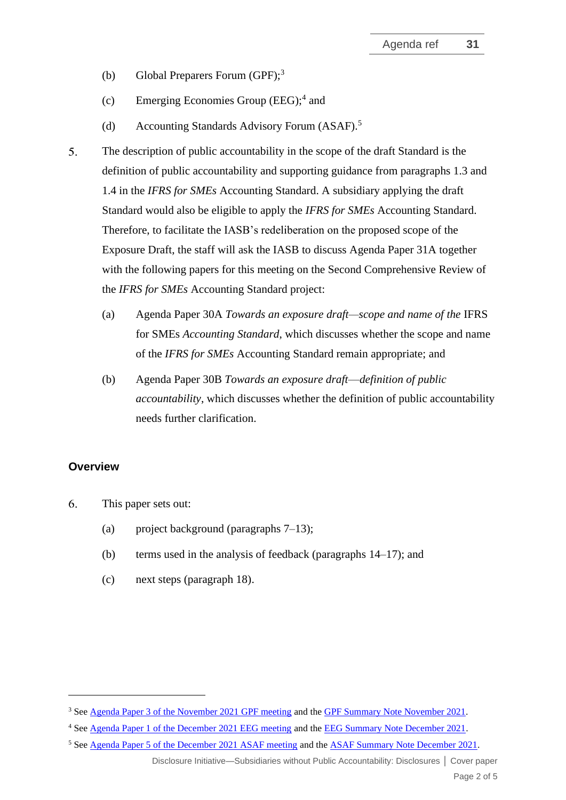- (b) Global Preparers Forum  $(GPF)$ ;<sup>3</sup>
- (c) Emerging Economies Group (EEG);<sup>4</sup> and
- (d) Accounting Standards Advisory Forum (ASAF).<sup>5</sup>
- $5<sub>1</sub>$ The description of public accountability in the scope of the draft Standard is the definition of public accountability and supporting guidance from paragraphs 1.3 and 1.4 in the *IFRS for SMEs* Accounting Standard. A subsidiary applying the draft Standard would also be eligible to apply the *IFRS for SMEs* Accounting Standard. Therefore, to facilitate the IASB's redeliberation on the proposed scope of the Exposure Draft, the staff will ask the IASB to discuss Agenda Paper 31A together with the following papers for this meeting on the Second Comprehensive Review of the *IFRS for SMEs* Accounting Standard project:
	- (a) Agenda Paper 30A *Towards an exposure draft—scope and name of the* IFRS for SMEs *Accounting Standard*, which discusses whether the scope and name of the *IFRS for SMEs* Accounting Standard remain appropriate; and
	- (b) Agenda Paper 30B *Towards an exposure draft*—*definition of public accountability*, which discusses whether the definition of public accountability needs further clarification.

#### **Overview**

- 6. This paper sets out:
	- (a) project background (paragraphs [7–](#page-2-0)[13\)](#page-3-0);
	- (b) terms used in the analysis of feedback (paragraphs [14](#page-3-1)[–17\)](#page-4-0); and
	- (c) next steps (paragraph [18\)](#page-4-1).

Disclosure Initiative—Subsidiaries without Public Accountability: Disclosures **│** Cover paper

<sup>&</sup>lt;sup>3</sup> Se[e Agenda Paper 3 of the November 2021 GPF meeting](https://www.ifrs.org/content/dam/ifrs/meetings/2021/november/gpf/ap3-subsidiaries-without-public-accountability-disclosures-gpf-nov-2021.pdf) and the GPF Summary [Note November 2021.](https://www.ifrs.org/content/dam/ifrs/meetings/2021/november/gpf/gpf-meeting-summary-november-2021.pdf)

<sup>&</sup>lt;sup>4</sup> Se[e Agenda Paper 1 of the December 2021 EEG meeting](https://www.ifrs.org/content/dam/ifrs/meetings/2021/december/eeg/ap1-swpad-overview-of-the-exposure-draft-and-feedback.pdf) and the [EEG Summary Note December 2021.](https://www.ifrs.org/content/dam/ifrs/groups/eeg/eeg-report-dec-2021.pdf)

<sup>5</sup> Se[e Agenda Paper 5 of the December 2021 ASAF meeting](https://www.ifrs.org/content/dam/ifrs/meetings/2021/december/asaf/ap5-subsidiaries-without-public-accountability-disclosures-proposes-scope-of-the-draft-standard.pdf) and the [ASAF Summary Note December 2021.](https://www.ifrs.org/content/dam/ifrs/meetings/2021/december/asaf/asaf-summary-note-dec-2021.pdf)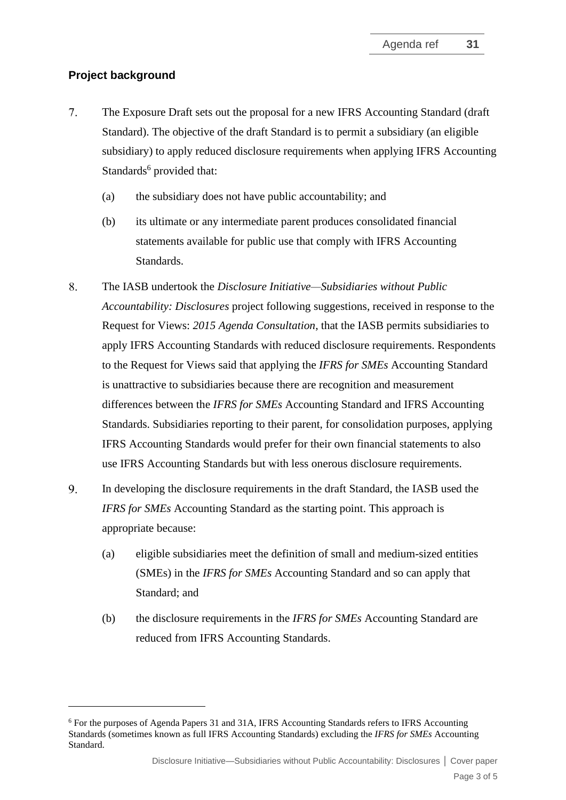## **Project background**

- <span id="page-2-0"></span> $7.$ The Exposure Draft sets out the proposal for a new IFRS Accounting Standard (draft Standard). The objective of the draft Standard is to permit a subsidiary (an eligible subsidiary) to apply reduced disclosure requirements when applying IFRS Accounting Standards<sup>6</sup> provided that:
	- (a) the subsidiary does not have public accountability; and
	- (b) its ultimate or any intermediate parent produces consolidated financial statements available for public use that comply with IFRS Accounting Standards.
- 8. The IASB undertook the *Disclosure Initiative—Subsidiaries [without Public](https://www.ifrs.org/content/ifrs/home/projects/work-plan/subsidiaries-smes.html)  [Accountability: Disclosures](https://www.ifrs.org/content/ifrs/home/projects/work-plan/subsidiaries-smes.html)* project following suggestions, received in response to the Request for Views: *2015 Agenda Consultation*, that the IASB permits subsidiaries to apply IFRS Accounting Standards with reduced disclosure requirements. Respondents to the Request for Views said that applying the *IFRS for SMEs* Accounting Standard is unattractive to subsidiaries because there are recognition and measurement differences between the *IFRS for SMEs* Accounting Standard and IFRS Accounting Standards. Subsidiaries reporting to their parent, for consolidation purposes, applying IFRS Accounting Standards would prefer for their own financial statements to also use IFRS Accounting Standards but with less onerous disclosure requirements.
- <span id="page-2-1"></span>9. In developing the disclosure requirements in the draft Standard, the IASB used the *IFRS for SMEs* Accounting Standard as the starting point. This approach is appropriate because:
	- (a) eligible subsidiaries meet the definition of small and medium-sized entities (SMEs) in the *IFRS for SMEs* Accounting Standard and so can apply that Standard; and
	- (b) the disclosure requirements in the *IFRS for SMEs* Accounting Standard are reduced from IFRS Accounting Standards.

<sup>6</sup> For the purposes of Agenda Papers 31 and 31A, IFRS Accounting Standards refers to IFRS Accounting Standards (sometimes known as full IFRS Accounting Standards) excluding the *IFRS for SMEs* Accounting Standard.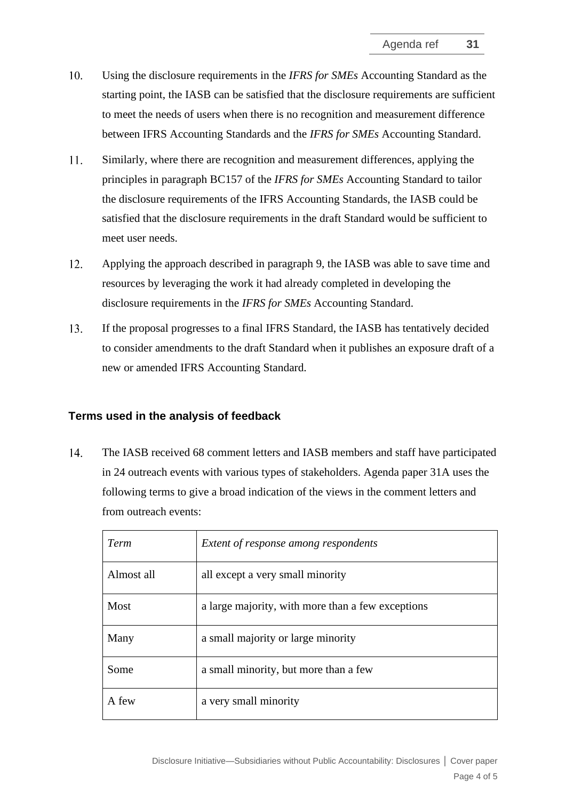- $10.$ Using the disclosure requirements in the *IFRS for SMEs* Accounting Standard as the starting point, the IASB can be satisfied that the disclosure requirements are sufficient to meet the needs of users when there is no recognition and measurement difference between IFRS Accounting Standards and the *IFRS for SMEs* Accounting Standard.
- 11. Similarly, where there are recognition and measurement differences, applying the principles in paragraph BC157 of the *IFRS for SMEs* Accounting Standard to tailor the disclosure requirements of the IFRS Accounting Standards, the IASB could be satisfied that the disclosure requirements in the draft Standard would be sufficient to meet user needs.
- 12. Applying the approach described in paragraph [9,](#page-2-1) the IASB was able to save time and resources by leveraging the work it had already completed in developing the disclosure requirements in the *IFRS for SMEs* Accounting Standard.
- <span id="page-3-0"></span> $13<sub>1</sub>$ If the proposal progresses to a final IFRS Standard, the IASB has tentatively decided to consider amendments to the draft Standard when it publishes an exposure draft of a new or amended IFRS Accounting Standard.

### **Terms used in the analysis of feedback**

<span id="page-3-1"></span> $14.$ The IASB received 68 comment letters and IASB members and staff have participated in 24 outreach events with various types of stakeholders. Agenda paper 31A uses the following terms to give a broad indication of the views in the comment letters and from outreach events:

| Term       | Extent of response among respondents              |
|------------|---------------------------------------------------|
| Almost all | all except a very small minority                  |
| Most       | a large majority, with more than a few exceptions |
| Many       | a small majority or large minority                |
| Some       | a small minority, but more than a few             |
| A few      | a very small minority                             |